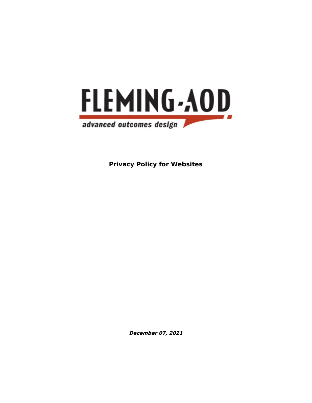

**Privacy Policy for Websites**

**December 07, 2021**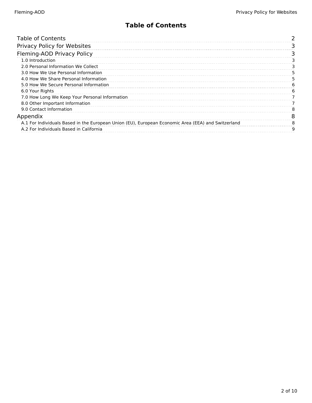## **Table of Contents**

<span id="page-1-0"></span>

| <b>Table of Contents</b>                                                                           |   |
|----------------------------------------------------------------------------------------------------|---|
| Privacy Policy for Websites                                                                        |   |
| Fleming-AOD Privacy Policy                                                                         |   |
| 1.0 Introduction                                                                                   |   |
| 2.0 Personal Information We Collect                                                                |   |
| 3.0 How We Use Personal Information                                                                |   |
| 4.0 How We Share Personal Information                                                              |   |
| 5.0 How We Secure Personal Information                                                             | h |
| 6.0 Your Rights                                                                                    |   |
| 7.0 How Long We Keep Your Personal Information                                                     |   |
| 8.0 Other Important Information                                                                    |   |
| 9.0 Contact Information                                                                            |   |
| Appendix                                                                                           |   |
| A.1 For Individuals Based in the European Union (EU), European Economic Area (EEA) and Switzerland |   |
| A.2 For Individuals Based in California                                                            | a |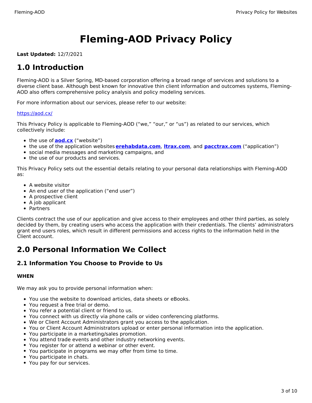# **Fleming-AOD Privacy Policy**

<span id="page-2-0"></span>**Last Updated:** 12/7/2021

# <span id="page-2-1"></span>**1.0 Introduction**

<span id="page-2-2"></span>Fleming-AOD is a Silver Spring, MD-based corporation offering a broad range of services and solutions to a diverse client base. Although best known for innovative thin client information and outcomes systems, Fleming-AOD also offers comprehensive policy analysis and policy modeling services.

For more information about our services, please refer to our website:

#### https://aod.cx/

This Privacy Policy is applicable to Fleming-AOD ("we," "our," or "us") as related to our services, which collectively include:

- [the use of](https://aod.cx/) **[aod.cx](https://aod.cx/)** ("website")
- the use of the application websites **[erehabdata.com](https://web2.erehabdata.com/erehabdata/index.jsp)**, **[ltrax.com](https://ltrax.com/)**, and **[pacctrax.com](https://pacctrax.com/index.jsp)** ("application")
- social media messages and marketing campaigns, and
- the use of our products and services.

This Privacy Policy sets out the essential details relating to your personal data relationships with Fleming-AOD as:

- A website visitor
- An end user of the application ("end user")
- A prospective client
- A job applicant
- Partners

Clients contract the use of our application and give access to their employees and other third parties, as solely decided by them, by creating users who access the application with their credentials. The clients' administrators grant end users roles, which result in different permissions and access rights to the information held in the Client account.

# **2.0 Personal Information We Collect**

### **2.1 Information You Choose to Provide to Us**

#### <span id="page-2-3"></span>**WHEN**

We may ask you to provide personal information when:

- You use the website to download articles, data sheets or eBooks.
- You request a free trial or demo.
- You refer a potential client or friend to us.
- You connect with us directly via phone calls or video conferencing platforms.
- We or Client Account Administrators grant you access to the application.
- You or Client Account Administrators upload or enter personal information into the application.
- You participate in a marketing/sales promotion.
- You attend trade events and other industry networking events.
- You register for or attend a webinar or other event.
- You participate in programs we may offer from time to time.
- You participate in chats.
- You pay for our services.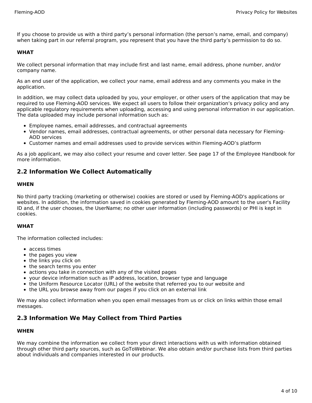If you choose to provide us with a third party's personal information (the person's name, email, and company) when taking part in our referral program, you represent that you have the third party's permission to do so.

#### **WHAT**

We collect personal information that may include first and last name, email address, phone number, and/or company name.

As an end user of the application, we collect your name, email address and any comments you make in the application.

In addition, we may collect data uploaded by you, your employer, or other users of the application that may be required to use Fleming-AOD services. We expect all users to follow their organization's privacy policy and any applicable regulatory requirements when uploading, accessing and using personal information in our application. The data uploaded may include personal information such as:

- Employee names, email addresses, and contractual agreements
- Vendor names, email addresses, contractual agreements, or other personal data necessary for Fleming-AOD services
- Customer names and email addresses used to provide services within Fleming-AOD's platform

As a job applicant, we may also collect your resume and cover letter. See page 17 of the Employee Handbook for more information.

### **2.2 Information We Collect Automatically**

#### **WHEN**

No third party tracking (marketing or otherwise) cookies are stored or used by Fleming-AOD's applications or websites. In addition, the information saved in cookies generated by Fleming-AOD amount to the user's Facility ID and, if the user chooses, the UserName; no other user information (including passwords) or PHI is kept in cookies.

#### **WHAT**

The information collected includes:

- access times
- the pages you view
- the links you click on
- the search terms you enter
- actions you take in connection with any of the visited pages
- your device information such as IP address, location, browser type and language
- the Uniform Resource Locator (URL) of the website that referred you to our website and
- the URL you browse away from our pages if you click on an external link

We may also collect information when you open email messages from us or click on links within those email messages.

### **2.3 Information We May Collect from Third Parties**

#### **WHEN**

We may combine the information we collect from your direct interactions with us with information obtained through other third party sources, such as GoToWebinar. We also obtain and/or purchase lists from third parties about individuals and companies interested in our products.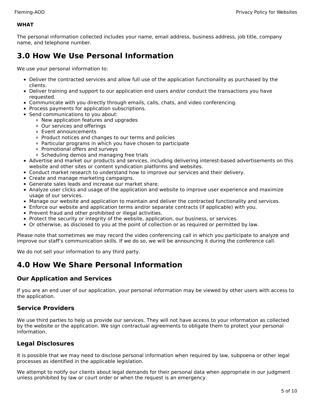#### **WHAT**

The personal information collected includes your name, email address, business address, job title, company name, and telephone number.

# <span id="page-4-0"></span>**3.0 How We Use Personal Information**

We use your personal information to:

- Deliver the contracted services and allow full use of the application functionality as purchased by the clients.
- Deliver training and support to our application end users and/or conduct the transactions you have requested.
- Communicate with you directly through emails, calls, chats, and video conferencing.
- Process payments for application subscriptions.
- Send communications to you about:
	- New application features and upgrades
	- Our services and offerings
	- Event announcements
	- Product notices and changes to our terms and policies
	- Particular programs in which you have chosen to participate
	- Promotional offers and surveys
	- Scheduling demos and managing free trials
- Advertise and market our products and services, including delivering interest-based advertisements on this website and other sites or content syndication platforms and websites.
- Conduct market research to understand how to improve our services and their delivery.
- Create and manage marketing campaigns.
- Generate sales leads and increase our market share.
- Analyze user clicks and usage of the application and website to improve user experience and maximize usage of our services.
- Manage our website and application to maintain and deliver the contracted functionality and services.
- Enforce our website and application terms and/or separate contracts (if applicable) with you.
- Prevent fraud and other prohibited or illegal activities.
- Protect the security or integrity of the website, application, our business, or services.
- Or otherwise, as disclosed to you at the point of collection or as required or permitted by law.

Please note that sometimes we may record the video conferencing call in which you participate to analyze and improve our staff's communication skills. If we do so, we will be announcing it during the conference call.

We do not sell your information to any third party.

# <span id="page-4-1"></span>**4.0 How We Share Personal Information**

### **Our Application and Services**

If you are an end user of our application, your personal information may be viewed by other users with access to the application.

### **Service Providers**

We use third parties to help us provide our services. They will not have access to your information as collected by the website or the application. We sign contractual agreements to obligate them to protect your personal information.

### **Legal Disclosures**

It is possible that we may need to disclose personal information when required by law, subpoena or other legal processes as identified in the applicable legislation.

We attempt to notify our clients about legal demands for their personal data when appropriate in our judgment unless prohibited by law or court order or when the request is an emergency.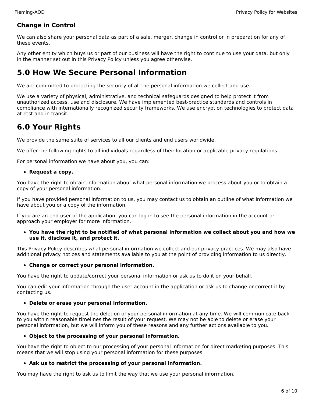### **Change in Control**

We can also share your personal data as part of a sale, merger, change in control or in preparation for any of these events.

Any other entity which buys us or part of our business will have the right to continue to use your data, but only in the manner set out in this Privacy Policy unless you agree otherwise.

# <span id="page-5-0"></span>**5.0 How We Secure Personal Information**

We are committed to protecting the security of all the personal information we collect and use.

We use a variety of physical, administrative, and technical safeguards designed to help protect it from unauthorized access, use and disclosure. We have implemented best-practice standards and controls in compliance with internationally recognized security frameworks. We use encryption technologies to protect data at rest and in transit.

# <span id="page-5-1"></span>**6.0 Your Rights**

We provide the same suite of services to all our clients and end users worldwide.

We offer the following rights to all individuals regardless of their location or applicable privacy regulations.

For personal information we have about you, you can:

#### **Request a copy.**

You have the right to obtain information about what personal information we process about you or to obtain a copy of your personal information.

If you have provided personal information to us, you may contact us to obtain an outline of what information we have about you or a copy of the information.

If you are an end user of the application, you can log in to see the personal information in the account or approach your employer for more information.

**You have the right to be notified of what personal information we collect about you and how we use it, disclose it, and protect it.**

This Privacy Policy describes what personal information we collect and our privacy practices. We may also have additional privacy notices and statements available to you at the point of providing information to us directly.

#### **Change or correct your personal information.**

You have the right to update/correct your personal information or ask us to do it on your behalf.

You can edit your information through the user account in the application or ask us to change or correct it by contacting us**.**

#### **Delete or erase your personal information.**

You have the right to request the deletion of your personal information at any time. We will communicate back to you within reasonable timelines the result of your request. We may not be able to delete or erase your personal information, but we will inform you of these reasons and any further actions available to you.

#### **Object to the processing of your personal information.**

You have the right to object to our processing of your personal information for direct marketing purposes. This means that we will stop using your personal information for these purposes.

#### **Ask us to restrict the processing of your personal information.**

You may have the right to ask us to limit the way that we use your personal information.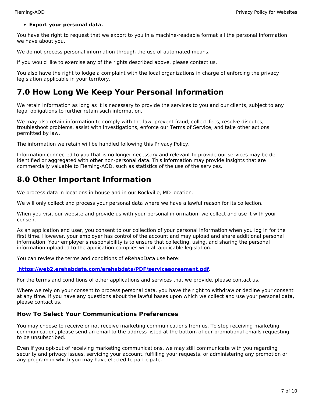#### **Export your personal data.**

You have the right to request that we export to you in a machine-readable format all the personal information we have about you.

We do not process personal information through the use of automated means.

If you would like to exercise any of the rights described above, please contact us.

You also have the right to lodge a complaint with the local organizations in charge of enforcing the privacy legislation applicable in your territory.

# <span id="page-6-0"></span>**7.0 How Long We Keep Your Personal Information**

We retain information as long as it is necessary to provide the services to you and our clients, subject to any legal obligations to further retain such information.

We may also retain information to comply with the law, prevent fraud, collect fees, resolve disputes, troubleshoot problems, assist with investigations, enforce our Terms of Service, and take other actions permitted by law.

The information we retain will be handled following this Privacy Policy.

Information connected to you that is no longer necessary and relevant to provide our services may be deidentified or aggregated with other non-personal data. This information may provide insights that are commercially valuable to Fleming-AOD, such as statistics of the use of the services.

# <span id="page-6-1"></span>**8.0 Other Important Information**

We process data in locations in-house and in our Rockville, MD location.

We will only collect and process your personal data where we have a lawful reason for its collection.

When you visit our website and provide us with your personal information, we collect and use it with your consent.

As an application end user, you consent to our collection of your personal information when you log in for the first time. However, your employer has control of the account and may upload and share additional personal information. Your employer's responsibility is to ensure that collecting, using, and sharing the personal information uploaded to the application complies with all applicable legislation.

You can review the terms and conditions of eRehabData use here:

#### **<https://web2.erehabdata.com/erehabdata/PDF/serviceagreement.pdf>**.

For the terms and conditions of other applications and services that we provide, please contact us.

Where we rely on your consent to process personal data, you have the right to withdraw or decline your consent at any time. If you have any questions about the lawful bases upon which we collect and use your personal data, please contact us.

### **How To Select Your Communications Preferences**

You may choose to receive or not receive marketing communications from us. To stop receiving marketing communication, please send an email to the address listed at the bottom of our promotional emails requesting to be unsubscribed.

Even if you opt-out of receiving marketing communications, we may still communicate with you regarding security and privacy issues, servicing your account, fulfilling your requests, or administering any promotion or any program in which you may have elected to participate.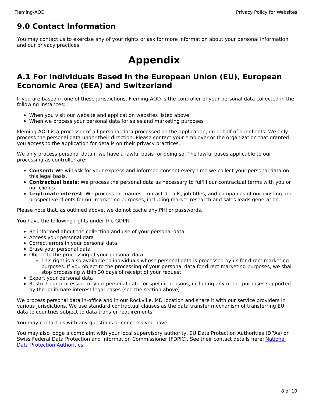# <span id="page-7-0"></span>**9.0 Contact Information**

<span id="page-7-1"></span>You may contact us to exercise any of your rights or ask for more information about your personal information and our privacy practices.

# **Appendix**

# <span id="page-7-2"></span>**A.1 For Individuals Based in the European Union (EU), European Economic Area (EEA) and Switzerland**

If you are based in one of these jurisdictions, Fleming-AOD is the controller of your personal data collected in the following instances:

- When you visit our website and application websites listed above
- When we process your personal data for sales and marketing purposes

Fleming-AOD is a processor of all personal data processed on the application, on behalf of our clients. We only process the personal data under their direction. Please contact your employer or the organization that granted you access to the application for details on their privacy practices.

We only process personal data if we have a lawful basis for doing so. The lawful bases applicable to our processing as controller are:

- **Consent:** We will ask for your express and informed consent every time we collect your personal data on this legal basis.
- **Contractual basis**: We process the personal data as necessary to fulfill our contractual terms with you or our clients.
- **Legitimate interest**: We process the names, contact details, job titles, and companies of our existing and prospective clients for our marketing purposes, including market research and sales leads generation.

Please note that, as outlined above, we do not cache any PHI or passwords.

You have the following rights under the GDPR:

- Be informed about the collection and use of your personal data
- Access your personal data
- Correct errors in your personal data
- Erase your personal data
- Object to the processing of your personal data
	- This right is also available to individuals whose personal data is processed by us for direct marketing purposes. If you object to the processing of your personal data for direct marketing purposes, we shall stop processing within 30 days of receipt of your request.
- Export your personal data
- Restrict our processing of your personal data for specific reasons, including any of the purposes supported by the legitimate interest legal bases (see the section above)

We process personal data in-office and in our Rockville, MD location and share it with our service providers in various jurisdictions. We use standard contractual clauses as the data transfer mechanism of transferring EU data to countries subject to data transfer requirements.

You may contact us with any questions or concerns you have.

You may also lodge a complaint with your local supervisory authority, EU Data Protection Authorities (DPAs) or Swiss Federal Data Protection and Information [Commissioner](https://edpb.europa.eu/about-edpb/about-edpb/members_en) (FDPIC). See their contact details here: National Data Protection Authorities.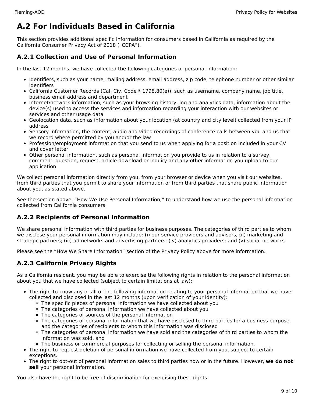# <span id="page-8-0"></span>**A.2 For Individuals Based in California**

This section provides additional specific information for consumers based in California as required by the California Consumer Privacy Act of 2018 ("CCPA").

### **A.2.1 Collection and Use of Personal Information**

In the last 12 months, we have collected the following categories of personal information:

- Identifiers, such as your name, mailing address, email address, zip code, telephone number or other similar identifiers
- California Customer Records (Cal. Civ. Code § 1798.80(e)), such as username, company name, job title, business email address and department
- Internet/network information, such as your browsing history, log and analytics data, information about the device(s) used to access the services and information regarding your interaction with our websites or services and other usage data
- Geolocation data, such as information about your location (at country and city level) collected from your IP address
- Sensory Information, the content, audio and video recordings of conference calls between you and us that we record where permitted by you and/or the law
- Profession/employment information that you send to us when applying for a position included in your CV and cover letter
- Other personal information, such as personal information you provide to us in relation to a survey, comment, question, request, article download or inquiry and any other information you upload to our application

We collect personal information directly from you, from your browser or device when you visit our websites, from third parties that you permit to share your information or from third parties that share public information about you, as stated above.

See the section above, "How We Use Personal Information," to understand how we use the personal information collected from California consumers.

### **A.2.2 Recipients of Personal Information**

We share personal information with third parties for business purposes. The categories of third parties to whom we disclose your personal information may include: (i) our service providers and advisors, (ii) marketing and strategic partners; (iii) ad networks and advertising partners; (iv) analytics providers; and (v) social networks.

Please see the "How We Share Information" section of the Privacy Policy above for more information.

## **A.2.3 California Privacy Rights**

As a California resident, you may be able to exercise the following rights in relation to the personal information about you that we have collected (subject to certain limitations at law):

- The right to know any or all of the following information relating to your personal information that we have collected and disclosed in the last 12 months (upon verification of your identity):
	- The specific pieces of personal information we have collected about you
	- The categories of personal information we have collected about you
	- The categories of sources of the personal information
	- The categories of personal information that we have disclosed to third parties for a business purpose, and the categories of recipients to whom this information was disclosed
	- The categories of personal information we have sold and the categories of third parties to whom the information was sold, and
	- The business or commercial purposes for collecting or selling the personal information.
- The right to request deletion of personal information we have collected from you, subject to certain exceptions.
- The right to opt-out of personal information sales to third parties now or in the future. However, **we do not sell** your personal information.

You also have the right to be free of discrimination for exercising these rights.